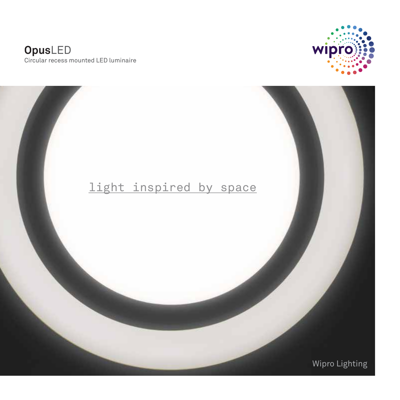**Opus**LED Circular recess mounted LED luminaire



### light inspired by space

Wipro Lighting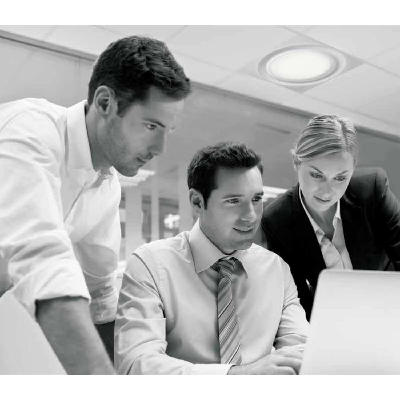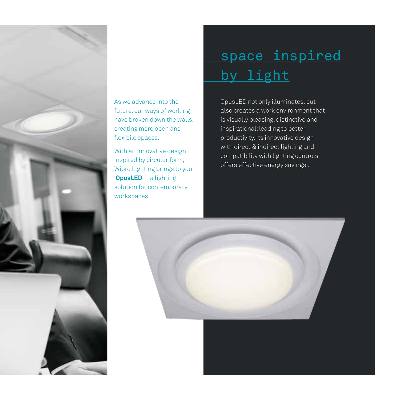

As we advance into the future, our ways of working have broken down the walls, creating more open and flexibile spaces.

With an innovative design inspired by circular form, Wipro Lighting brings to you '**OpusLED**' - a lighting solution for contemporary workspaces.

## space inspired by light

OpusLED not only illuminates, but also creates a work environment that is visually pleasing, distinctive and inspirational; leading to better productivity. Its innovative design with direct & indirect lighting and compatibility with lighting controls offers effective energy savings .

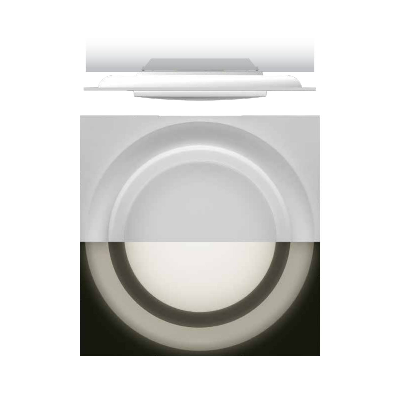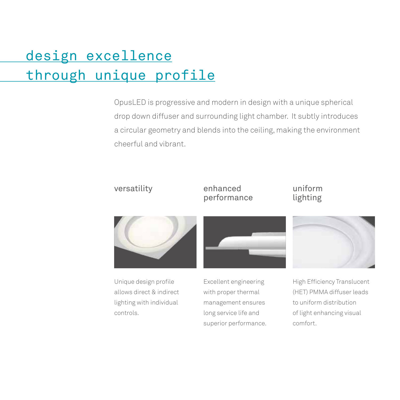### design excellence through unique profile

OpusLED is progressive and modern in design with a unique spherical drop down diffuser and surrounding light chamber. It subtly introduces a circular geometry and blends into the ceiling, making the environment cheerful and vibrant.

# enhanced performance versatility

Unique design profile allows direct & indirect lighting with individual controls.

Excellent engineering with proper thermal management ensures long service life and superior performance.



uniform lighting

High Efficiency Translucent (HET) PMMA diffuser leads to uniform distribution of light enhancing visual comfort.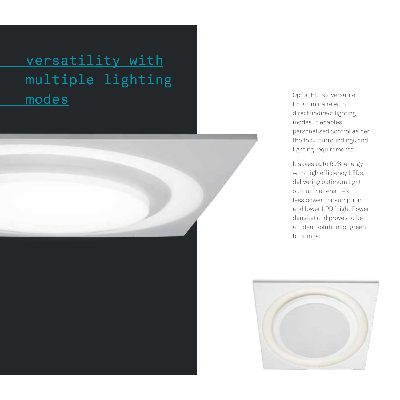### versatility with multiple lighting modes



It saves upto 60% energy with high efficiency LEDs, delivering optimum light output that ensures less power consumption and lower LPD (Light Power density) and proves to be an ideal solution for green buildings.

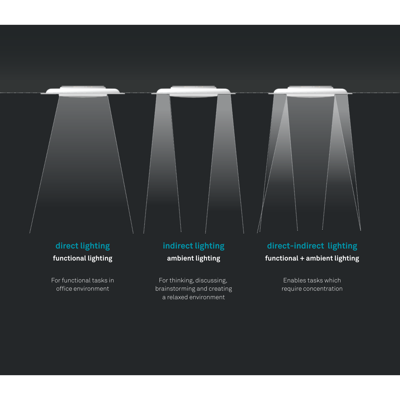### **direct lighting functional lighting**

For functional tasks in office environment

#### **indirect lighting ambient lighting**

. . . . . . . . . . . . . .

For thinking, discussing, brainstorming and creating a relaxed environment

**direct-indirect lighting functional + ambient lighting**

................

j.

.....................

Enables tasks which require concentration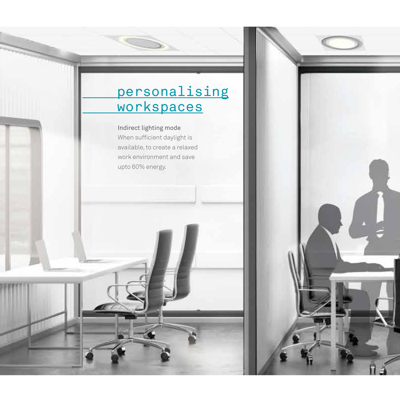### personalising **workspaces**

Indirect lighting mode When sufficient daylight is available, to create a relaxed work environment and save upto 60% energy.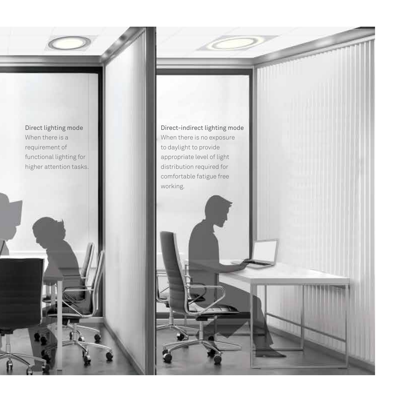Direct lighting mode When there is a requirement of functional lighting for higher attention tasks. Direct-indirect lighting mode When there is no exposure to daylight to provide appropriate level of light distribution required for comfortable fatigue free working.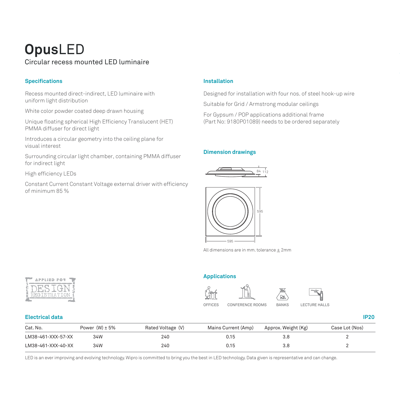### **Opus**LED Circular recess mounted LED luminaire

#### **Specifications Installation**

Recess mounted direct-indirect, LED luminaire with uniform light distribution

White color powder coated deep drawn housing

Unique floating spherical High Efficiency Translucent (HET) PMMA diffuser for direct light

Introduces a circular geometry into the ceiling plane for visual interest

Surrounding circular light chamber, containing PMMA diffuser for indirect light

High efficiency LEDs

Constant Current Constant Voltage external driver with efficiency of minimum 85 %

Designed for installation with four nos. of steel hook-up wire

Suitable for Grid / Armstrong modular ceilings

For Gypsum / POP applications additional frame (Part No: 9180P01089) needs to be ordered separately

#### **Dimension drawings**





All dimensions are in mm. tolerance  $\pm 2$ mm

#### **Applications**







**Electrical data IP20**

**APPLIED FOR** 

| Cat. No.           | Power $(W) \pm 5\%$ | Rated Voltage (V) | Mains Current (Amp) | Approx. Weight (Kg) | Case Lot (Nos) |
|--------------------|---------------------|-------------------|---------------------|---------------------|----------------|
| LM38-461-XXX-57-XX | 34W                 | 240               | 0.15                | 3.8                 |                |
| LM38-461-XXX-40-XX | 34W                 | 240               | 0.15                | 3.8                 |                |

LED is an ever improving and evolving technology. Wipro is committed to bring you the best in LED technology. Data given is representative and can change.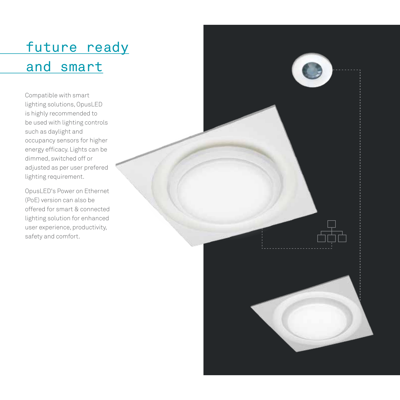## future ready and smart

Compatible with smart lighting solutions, OpusLED is highly recommended to be used with lighting controls such as daylight and occupancy sensors for higher energy efficacy. Lights can be dimmed, switched off or adjusted as per user prefered lighting requirement.

OpusLED's Power on Ethernet (PoE) version can also be offered for smart & connected lighting solution for enhanced user experience, productivity, safety and comfort.